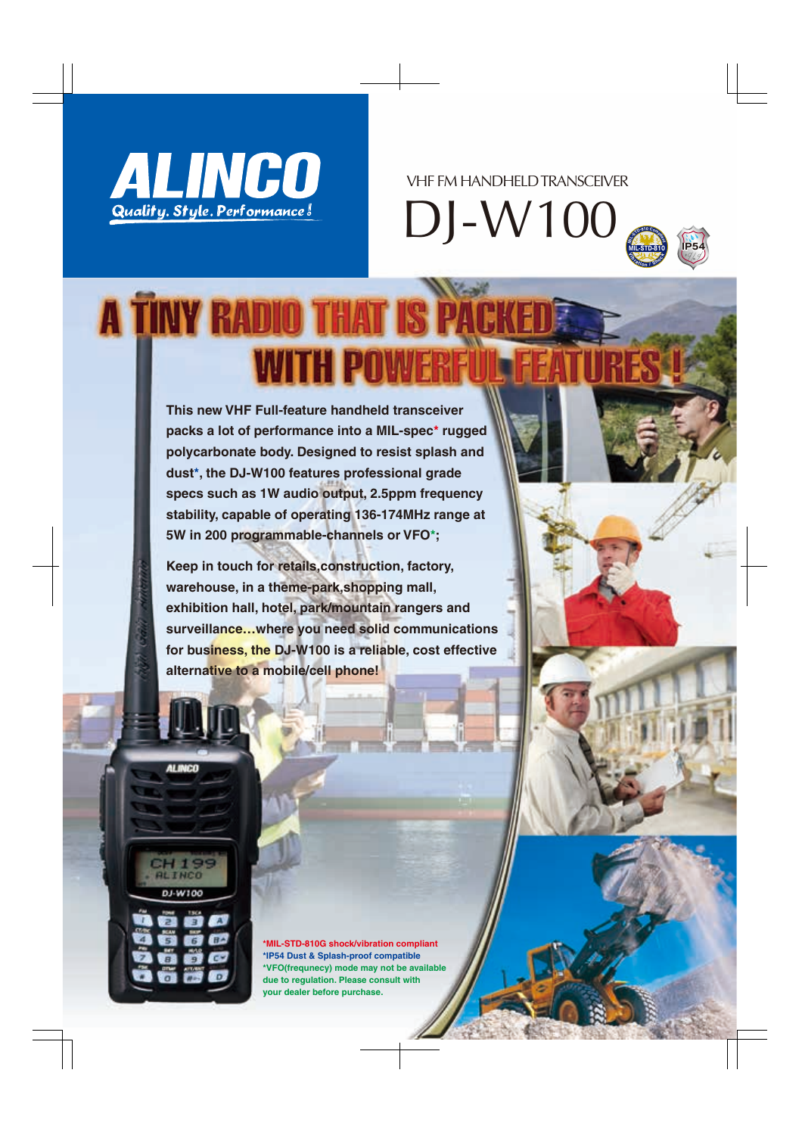

DJ-W100 VHF FM HANDHELD TRANSCEIVER



## **A TINY RADIO THAT IS PA WITH POWE**

**This new VHF Full-feature handheld transceiver packs a lot of performance into a MIL-spec\* rugged polycarbonate body. Designed to resist splash and dust\*, the DJ-W100 features professional grade specs such as 1W audio output, 2.5ppm frequency stability, capable of operating 136-174MHz range at 5W in 200 programmable-channels or VFO\*;** 

**Keep in touch for retails,construction, factory, warehouse, in a theme-park,shopping mall, exhibition hall, hotel, park/mountain rangers and surveillance…where you need solid communications for business, the DJ-W100 is a reliable, cost effective alternative to a mobile/cell phone!**





**\*MIL-STD-810G shock/vibration compliant \*IP54 Dust & Splash-proof compatible \*VFO(frequnecy) mode may not be available due to regulation. Please consult with your dealer before purchase.**